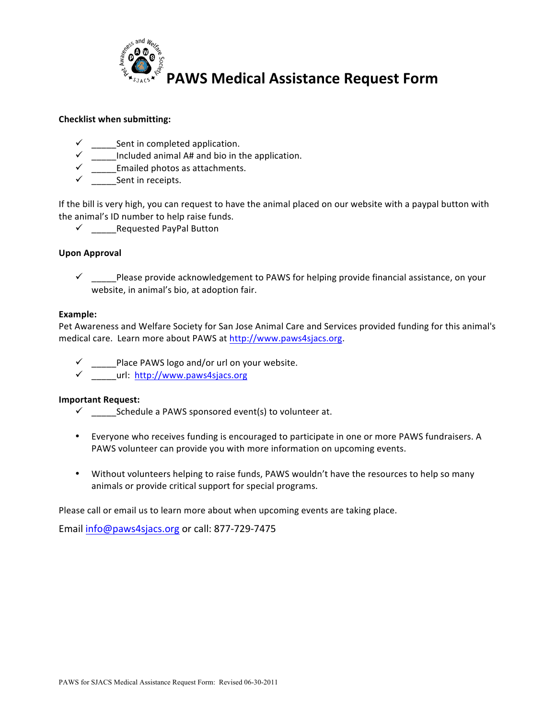

### **Checklist when submitting:**

- $\checkmark$  Sent in completed application.
- Included animal A# and bio in the application.
- $\checkmark$  Emailed photos as attachments.
- $\checkmark$  Sent in receipts.

If the bill is very high, you can request to have the animal placed on our website with a paypal button with the animal's ID number to help raise funds.

 $\checkmark$  \_\_\_\_\_\_Requested PayPal Button

### **Upon Approval**

 $\checkmark$  Please provide acknowledgement to PAWS for helping provide financial assistance, on your website, in animal's bio, at adoption fair.

#### Example:

Pet Awareness and Welfare Society for San Jose Animal Care and Services provided funding for this animal's medical care. Learn more about PAWS at http://www.paws4sjacs.org.

- **IDELGGGCALE EXAMS** logo and/or url on your website.
- $\checkmark$  url: http://www.paws4sjacs.org

#### **Important Request:**

- $\checkmark$  Schedule a PAWS sponsored event(s) to volunteer at.
- Everyone who receives funding is encouraged to participate in one or more PAWS fundraisers. A PAWS volunteer can provide you with more information on upcoming events.
- Without volunteers helping to raise funds, PAWS wouldn't have the resources to help so many animals or provide critical support for special programs.

Please call or email us to learn more about when upcoming events are taking place.

Email info@paws4sjacs.org or call: 877-729-7475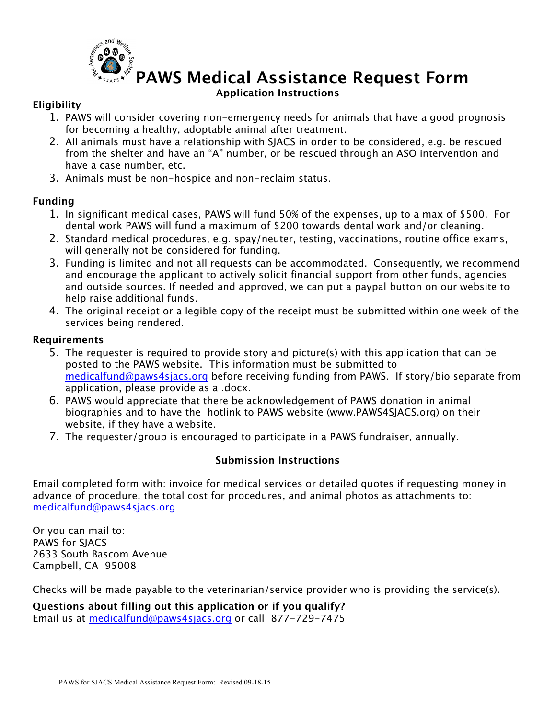

# **PAWS Medical Assistance Request Form Application Instructions**

## **Eligibility**

- 1. PAWS will consider covering non-emergency needs for animals that have a good prognosis for becoming a healthy, adoptable animal after treatment.
- 2. All animals must have a relationship with SJACS in order to be considered, e.g. be rescued from the shelter and have an "A" number, or be rescued through an ASO intervention and have a case number, etc.
- 3. Animals must be non-hospice and non-reclaim status.

## **Funding**

- 1. In significant medical cases, PAWS will fund 50% of the expenses, up to a max of \$500. For dental work PAWS will fund a maximum of \$200 towards dental work and/or cleaning.
- 2. Standard medical procedures, e.g. spay/neuter, testing, vaccinations, routine office exams, will generally not be considered for funding.
- 3. Funding is limited and not all requests can be accommodated. Consequently, we recommend and encourage the applicant to actively solicit financial support from other funds, agencies and outside sources. If needed and approved, we can put a paypal button on our website to help raise additional funds.
- 4. The original receipt or a legible copy of the receipt must be submitted within one week of the services being rendered.

### **Requirements**

- 5. The requester is required to provide story and picture(s) with this application that can be posted to the PAWS website. This information must be submitted to medicalfund@paws4sjacs.org before receiving funding from PAWS. If story/bio separate from application, please provide as a .docx.
- 6. PAWS would appreciate that there be acknowledgement of PAWS donation in animal biographies and to have the hotlink to PAWS website (www.PAWS4SJACS.org) on their website, if they have a website.
- 7. The requester/group is encouraged to participate in a PAWS fundraiser, annually.

# **Submission Instructions**

Email completed form with: invoice for medical services or detailed quotes if requesting money in advance of procedure, the total cost for procedures, and animal photos as attachments to: medicalfund@paws4sjacs.org

Or you can mail to: PAWS for SJACS 2633 South Bascom Avenue Campbell, CA 95008

Checks will be made payable to the veterinarian/service provider who is providing the service(s).

### **Questions about filling out this application or if you qualify?**

Email us at medicalfund@paws4sjacs.org or call: 877-729-7475